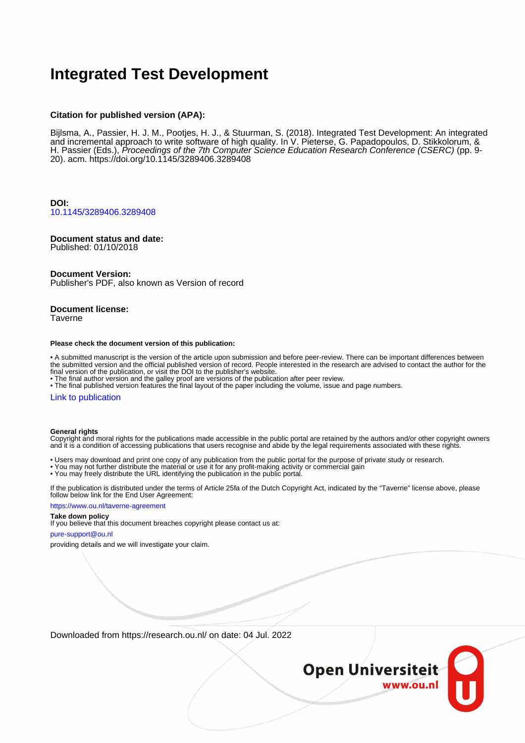# **Integrated Test Development**

## **Citation for published version (APA):**

Bijlsma, A., Passier, H. J. M., Pootjes, H. J., & Stuurman, S. (2018). Integrated Test Development: An integrated and incremental approach to write software of high quality. In V. Pieterse, G. Papadopoulos, D. Stikkolorum, & H. Passier (Eds.), Proceedings of the 7th Computer Science Education Research Conference (CSERC) (pp. 9-20). acm.<https://doi.org/10.1145/3289406.3289408>

**DOI:** [10.1145/3289406.3289408](https://doi.org/10.1145/3289406.3289408)

## **Document status and date:**

Published: 01/10/2018

#### **Document Version:**

Publisher's PDF, also known as Version of record

#### **Document license:**

Taverne

#### **Please check the document version of this publication:**

• A submitted manuscript is the version of the article upon submission and before peer-review. There can be important differences between the submitted version and the official published version of record. People interested in the research are advised to contact the author for the final version of the publication, or visit the DOI to the publisher's website.

• The final author version and the galley proof are versions of the publication after peer review.

• The final published version features the final layout of the paper including the volume, issue and page numbers.

#### [Link to publication](https://research.ou.nl/en/publications/a27148d8-3ff3-441f-9b76-fe3de1dd3960)

#### **General rights**

Copyright and moral rights for the publications made accessible in the public portal are retained by the authors and/or other copyright owners and it is a condition of accessing publications that users recognise and abide by the legal requirements associated with these rights.

- Users may download and print one copy of any publication from the public portal for the purpose of private study or research.
- You may not further distribute the material or use it for any profit-making activity or commercial gain
- You may freely distribute the URL identifying the publication in the public portal.

If the publication is distributed under the terms of Article 25fa of the Dutch Copyright Act, indicated by the "Taverne" license above, please follow below link for the End User Agreement:

#### https://www.ou.nl/taverne-agreement

## **Take down policy**

If you believe that this document breaches copyright please contact us at:

#### pure-support@ou.nl

providing details and we will investigate your claim.

Downloaded from https://research.ou.nl/ on date: 04 Jul. 2022

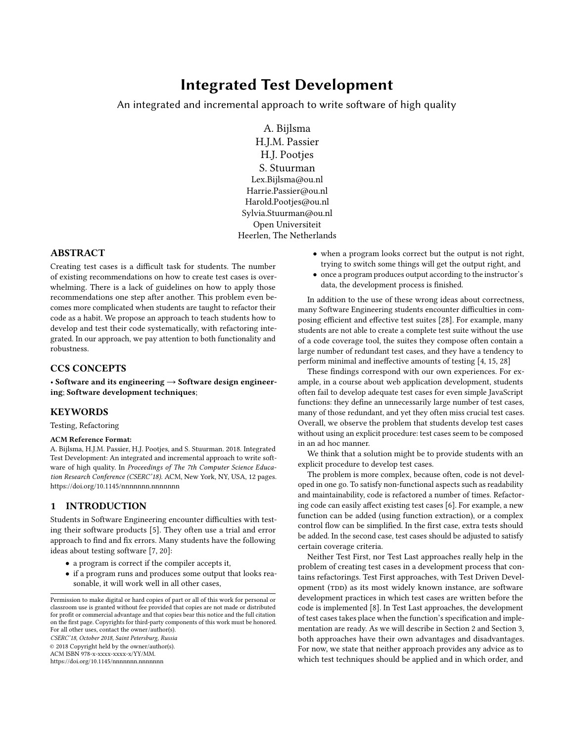## Integrated Test Development

An integrated and incremental approach to write software of high quality

A. Bijlsma H.J.M. Passier H.J. Pootjes S. Stuurman Lex.Bijlsma@ou.nl Harrie.Passier@ou.nl Harold.Pootjes@ou.nl Sylvia.Stuurman@ou.nl Open Universiteit Heerlen, The Netherlands

#### ABSTRACT

Creating test cases is a difficult task for students. The number of existing recommendations on how to create test cases is overwhelming. There is a lack of guidelines on how to apply those recommendations one step after another. This problem even becomes more complicated when students are taught to refactor their code as a habit. We propose an approach to teach students how to develop and test their code systematically, with refactoring integrated. In our approach, we pay attention to both functionality and robustness.

## CCS CONCEPTS

• Software and its engineering  $\rightarrow$  Software design engineering; Software development techniques;

## **KEYWORDS**

Testing, Refactoring

#### ACM Reference Format:

A. Bijlsma, H.J.M. Passier, H.J. Pootjes, and S. Stuurman. 2018. Integrated Test Development: An integrated and incremental approach to write software of high quality. In Proceedings of The 7th Computer Science Education Research Conference (CSERC'18). ACM, New York, NY, USA, [12](#page-12-0) pages. <https://doi.org/10.1145/nnnnnnn.nnnnnnn>

## 1 INTRODUCTION

Students in Software Engineering encounter difficulties with testing their software products [\[5\]](#page-11-0). They often use a trial and error approach to find and fix errors. Many students have the following ideas about testing software [\[7,](#page-11-1) [20\]](#page-11-2):

- a program is correct if the compiler accepts it,
- if a program runs and produces some output that looks reasonable, it will work well in all other cases,

CSERC'18, October 2018, Saint Petersburg, Russia

© 2018 Copyright held by the owner/author(s).

ACM ISBN 978-x-xxxx-xxxx-x/YY/MM.

<https://doi.org/10.1145/nnnnnnn.nnnnnnn>

- when a program looks correct but the output is not right, trying to switch some things will get the output right, and
- once a program produces output according to the instructor's data, the development process is finished.

In addition to the use of these wrong ideas about correctness, many Software Engineering students encounter difficulties in composing efficient and effective test suites [\[28\]](#page-12-1). For example, many students are not able to create a complete test suite without the use of a code coverage tool, the suites they compose often contain a large number of redundant test cases, and they have a tendency to perform minimal and ineffective amounts of testing [\[4,](#page-11-3) [15,](#page-11-4) [28\]](#page-12-1)

These findings correspond with our own experiences. For example, in a course about web application development, students often fail to develop adequate test cases for even simple JavaScript functions: they define an unnecessarily large number of test cases, many of those redundant, and yet they often miss crucial test cases. Overall, we observe the problem that students develop test cases without using an explicit procedure: test cases seem to be composed in an ad hoc manner.

We think that a solution might be to provide students with an explicit procedure to develop test cases.

The problem is more complex, because often, code is not developed in one go. To satisfy non-functional aspects such as readability and maintainability, code is refactored a number of times. Refactoring code can easily affect existing test cases [\[6\]](#page-11-5). For example, a new function can be added (using function extraction), or a complex control flow can be simplified. In the first case, extra tests should be added. In the second case, test cases should be adjusted to satisfy certain coverage criteria.

Neither Test First, nor Test Last approaches really help in the problem of creating test cases in a development process that contains refactorings. Test First approaches, with Test Driven Development (TDD) as its most widely known instance, are software development practices in which test cases are written before the code is implemented [\[8\]](#page-11-6). In Test Last approaches, the development of test cases takes place when the function's specification and implementation are ready. As we will describe in Section [2](#page-2-0) and Section [3,](#page-3-0) both approaches have their own advantages and disadvantages. For now, we state that neither approach provides any advice as to which test techniques should be applied and in which order, and

Permission to make digital or hard copies of part or all of this work for personal or classroom use is granted without fee provided that copies are not made or distributed for profit or commercial advantage and that copies bear this notice and the full citation on the first page. Copyrights for third-party components of this work must be honored. For all other uses, contact the owner/author(s).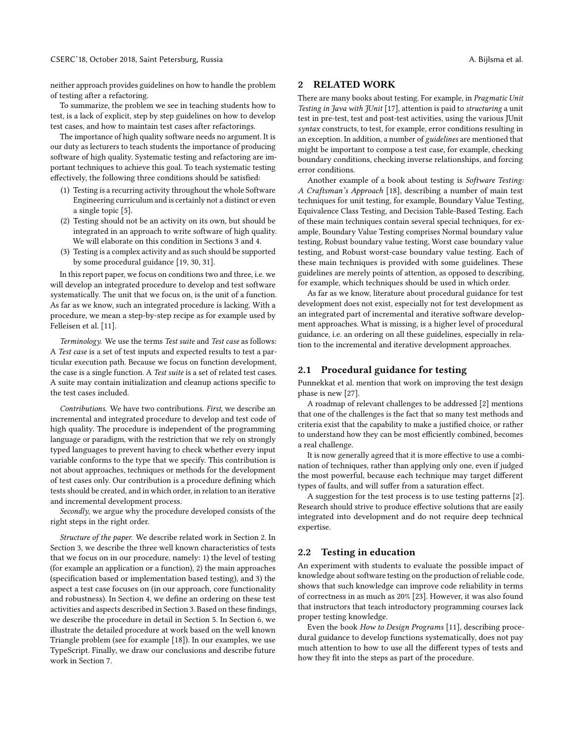neither approach provides guidelines on how to handle the problem of testing after a refactoring.

To summarize, the problem we see in teaching students how to test, is a lack of explicit, step by step guidelines on how to develop test cases, and how to maintain test cases after refactorings.

The importance of high quality software needs no argument. It is our duty as lecturers to teach students the importance of producing software of high quality. Systematic testing and refactoring are important techniques to achieve this goal. To teach systematic testing effectively, the following three conditions should be satisfied:

- (1) Testing is a recurring activity throughout the whole Software Engineering curriculum and is certainly not a distinct or even a single topic [\[5\]](#page-11-0).
- (2) Testing should not be an activity on its own, but should be integrated in an approach to write software of high quality. We will elaborate on this condition in Sections [3](#page-3-0) and [4.](#page-4-0)
- (3) Testing is a complex activity and as such should be supported by some procedural guidance [\[19,](#page-11-7) [30,](#page-12-2) [31\]](#page-12-3).

In this report paper, we focus on conditions two and three, i.e. we will develop an integrated procedure to develop and test software systematically. The unit that we focus on, is the unit of a function. As far as we know, such an integrated procedure is lacking. With a procedure, we mean a step-by-step recipe as for example used by Felleisen et al. [\[11\]](#page-11-8).

Terminology. We use the terms Test suite and Test case as follows: A Test case is a set of test inputs and expected results to test a particular execution path. Because we focus on function development, the case is a single function. A Test suite is a set of related test cases. A suite may contain initialization and cleanup actions specific to the test cases included.

Contributions. We have two contributions. First, we describe an incremental and integrated procedure to develop and test code of high quality. The procedure is independent of the programming language or paradigm, with the restriction that we rely on strongly typed languages to prevent having to check whether every input variable conforms to the type that we specify. This contribution is not about approaches, techniques or methods for the development of test cases only. Our contribution is a procedure defining which tests should be created, and in which order, in relation to an iterative and incremental development process.

Secondly, we argue why the procedure developed consists of the right steps in the right order.

Structure of the paper. We describe related work in Section [2.](#page-2-0) In Section [3,](#page-3-0) we describe the three well known characteristics of tests that we focus on in our procedure, namely: 1) the level of testing (for example an application or a function), 2) the main approaches (specification based or implementation based testing), and 3) the aspect a test case focuses on (in our approach, core functionality and robustness). In Section [4,](#page-4-0) we define an ordering on these test activities and aspects described in Section [3.](#page-3-0) Based on these findings, we describe the procedure in detail in Section [5.](#page-5-0) In Section [6,](#page-7-0) we illustrate the detailed procedure at work based on the well known Triangle problem (see for example [\[18\]](#page-11-9)). In our examples, we use TypeScript. Finally, we draw our conclusions and describe future work in Section [7.](#page-11-10)

## <span id="page-2-0"></span>2 RELATED WORK

There are many books about testing. For example, in Pragmatic Unit Testing in Java with JUnit [\[17\]](#page-11-11), attention is paid to structuring a unit test in pre-test, test and post-test activities, using the various JUnit syntax constructs, to test, for example, error conditions resulting in an exception. In addition, a number of guidelines are mentioned that might be important to compose a test case, for example, checking boundary conditions, checking inverse relationships, and forcing error conditions.

Another example of a book about testing is Software Testing: A Craftsman's Approach [\[18\]](#page-11-9), describing a number of main test techniques for unit testing, for example, Boundary Value Testing, Equivalence Class Testing, and Decision Table-Based Testing. Each of these main techniques contain several special techniques, for example, Boundary Value Testing comprises Normal boundary value testing, Robust boundary value testing, Worst case boundary value testing, and Robust worst-case boundary value testing. Each of these main techniques is provided with some guidelines. These guidelines are merely points of attention, as opposed to describing, for example, which techniques should be used in which order.

As far as we know, literature about procedural guidance for test development does not exist, especially not for test development as an integrated part of incremental and iterative software development approaches. What is missing, is a higher level of procedural guidance, i.e. an ordering on all these guidelines, especially in relation to the incremental and iterative development approaches.

#### 2.1 Procedural guidance for testing

Punnekkat et al. mention that work on improving the test design phase is new [\[27\]](#page-12-4).

A roadmap of relevant challenges to be addressed [\[2\]](#page-11-12) mentions that one of the challenges is the fact that so many test methods and criteria exist that the capability to make a justified choice, or rather to understand how they can be most efficiently combined, becomes a real challenge.

It is now generally agreed that it is more effective to use a combination of techniques, rather than applying only one, even if judged the most powerful, because each technique may target different types of faults, and will suffer from a saturation effect.

A suggestion for the test process is to use testing patterns [\[2\]](#page-11-12). Research should strive to produce effective solutions that are easily integrated into development and do not require deep technical expertise.

#### 2.2 Testing in education

An experiment with students to evaluate the possible impact of knowledge about software testing on the production of reliable code, shows that such knowledge can improve code reliability in terms of correctness in as much as 20% [\[23\]](#page-12-5). However, it was also found that instructors that teach introductory programming courses lack proper testing knowledge.

Even the book How to Design Programs [\[11\]](#page-11-8), describing procedural guidance to develop functions systematically, does not pay much attention to how to use all the different types of tests and how they fit into the steps as part of the procedure.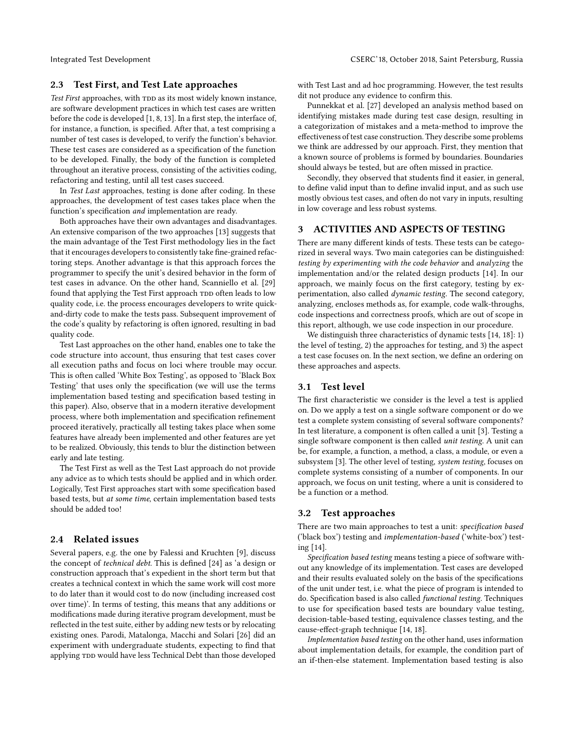## <span id="page-3-1"></span>2.3 Test First, and Test Late approaches

Test First approaches, with TDD as its most widely known instance, are software development practices in which test cases are written before the code is developed [\[1,](#page-11-13) [8,](#page-11-6) [13\]](#page-11-14). In a first step, the interface of, for instance, a function, is specified. After that, a test comprising a number of test cases is developed, to verify the function's behavior. These test cases are considered as a specification of the function to be developed. Finally, the body of the function is completed throughout an iterative process, consisting of the activities coding, refactoring and testing, until all test cases succeed.

In Test Last approaches, testing is done after coding. In these approaches, the development of test cases takes place when the function's specification and implementation are ready.

Both approaches have their own advantages and disadvantages. An extensive comparison of the two approaches [\[13\]](#page-11-14) suggests that the main advantage of the Test First methodology lies in the fact that it encourages developers to consistently take fine-grained refactoring steps. Another advantage is that this approach forces the programmer to specify the unit's desired behavior in the form of test cases in advance. On the other hand, Scanniello et al. [\[29\]](#page-12-6) found that applying the Test First approach TDD often leads to low quality code, i.e. the process encourages developers to write quickand-dirty code to make the tests pass. Subsequent improvement of the code's quality by refactoring is often ignored, resulting in bad quality code.

Test Last approaches on the other hand, enables one to take the code structure into account, thus ensuring that test cases cover all execution paths and focus on loci where trouble may occur. This is often called 'White Box Testing', as opposed to 'Black Box Testing' that uses only the specification (we will use the terms implementation based testing and specification based testing in this paper). Also, observe that in a modern iterative development process, where both implementation and specification refinement proceed iteratively, practically all testing takes place when some features have already been implemented and other features are yet to be realized. Obviously, this tends to blur the distinction between early and late testing.

The Test First as well as the Test Last approach do not provide any advice as to which tests should be applied and in which order. Logically, Test First approaches start with some specification based based tests, but at some time, certain implementation based tests should be added too!

#### 2.4 Related issues

Several papers, e.g. the one by Falessi and Kruchten [\[9\]](#page-11-15), discuss the concept of technical debt. This is defined [\[24\]](#page-12-7) as 'a design or construction approach that's expedient in the short term but that creates a technical context in which the same work will cost more to do later than it would cost to do now (including increased cost over time)'. In terms of testing, this means that any additions or modifications made during iterative program development, must be reflected in the test suite, either by adding new tests or by relocating existing ones. Parodi, Matalonga, Macchi and Solari [\[26\]](#page-12-8) did an experiment with undergraduate students, expecting to find that applying TDD would have less Technical Debt than those developed with Test Last and ad hoc programming. However, the test results dit not produce any evidence to confirm this.

Punnekkat et al. [\[27\]](#page-12-4) developed an analysis method based on identifying mistakes made during test case design, resulting in a categorization of mistakes and a meta-method to improve the effectiveness of test case construction. They describe some problems we think are addressed by our approach. First, they mention that a known source of problems is formed by boundaries. Boundaries should always be tested, but are often missed in practice.

Secondly, they observed that students find it easier, in general, to define valid input than to define invalid input, and as such use mostly obvious test cases, and often do not vary in inputs, resulting in low coverage and less robust systems.

## <span id="page-3-0"></span>3 ACTIVITIES AND ASPECTS OF TESTING

There are many different kinds of tests. These tests can be categorized in several ways. Two main categories can be distinguished: testing by experimenting with the code behavior and analyzing the implementation and/or the related design products [\[14\]](#page-11-16). In our approach, we mainly focus on the first category, testing by experimentation, also called dynamic testing. The second category, analyzing, encloses methods as, for example, code walk-throughs, code inspections and correctness proofs, which are out of scope in this report, although, we use code inspection in our procedure.

We distinguish three characteristics of dynamic tests [\[14,](#page-11-16) [18\]](#page-11-9): 1) the level of testing, 2) the approaches for testing, and 3) the aspect a test case focuses on. In the next section, we define an ordering on these approaches and aspects.

## 3.1 Test level

The first characteristic we consider is the level a test is applied on. Do we apply a test on a single software component or do we test a complete system consisting of several software components? In test literature, a component is often called a unit [\[3\]](#page-11-17). Testing a single software component is then called unit testing. A unit can be, for example, a function, a method, a class, a module, or even a subsystem [\[3\]](#page-11-17). The other level of testing, system testing, focuses on complete systems consisting of a number of components. In our approach, we focus on unit testing, where a unit is considered to be a function or a method.

#### 3.2 Test approaches

There are two main approaches to test a unit: specification based ('black box') testing and implementation-based ('white-box') testing [\[14\]](#page-11-16).

Specification based testing means testing a piece of software without any knowledge of its implementation. Test cases are developed and their results evaluated solely on the basis of the specifications of the unit under test, i.e. what the piece of program is intended to do. Specification based is also called functional testing. Techniques to use for specification based tests are boundary value testing, decision-table-based testing, equivalence classes testing, and the cause-effect-graph technique [\[14,](#page-11-16) [18\]](#page-11-9).

Implementation based testing on the other hand, uses information about implementation details, for example, the condition part of an if-then-else statement. Implementation based testing is also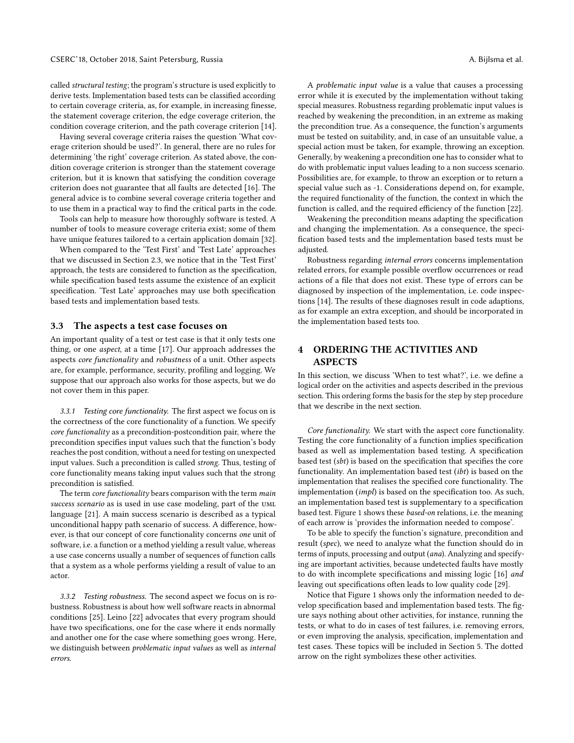called structural testing; the program's structure is used explicitly to derive tests. Implementation based tests can be classified according to certain coverage criteria, as, for example, in increasing finesse, the statement coverage criterion, the edge coverage criterion, the condition coverage criterion, and the path coverage criterion [\[14\]](#page-11-16).

Having several coverage criteria raises the question 'What coverage criterion should be used?'. In general, there are no rules for determining 'the right' coverage criterion. As stated above, the condition coverage criterion is stronger than the statement coverage criterion, but it is known that satisfying the condition coverage criterion does not guarantee that all faults are detected [\[16\]](#page-11-18). The general advice is to combine several coverage criteria together and to use them in a practical way to find the critical parts in the code.

Tools can help to measure how thoroughly software is tested. A number of tools to measure coverage criteria exist; some of them have unique features tailored to a certain application domain [\[32\]](#page-12-9).

When compared to the 'Test First' and 'Test Late' approaches that we discussed in Section [2.3,](#page-3-1) we notice that in the 'Test First' approach, the tests are considered to function as the specification, while specification based tests assume the existence of an explicit specification. 'Test Late' approaches may use both specification based tests and implementation based tests.

#### 3.3 The aspects a test case focuses on

An important quality of a test or test case is that it only tests one thing, or one aspect, at a time [\[17\]](#page-11-11). Our approach addresses the aspects core functionality and robustness of a unit. Other aspects are, for example, performance, security, profiling and logging. We suppose that our approach also works for those aspects, but we do not cover them in this paper.

3.3.1 Testing core functionality. The first aspect we focus on is the correctness of the core functionality of a function. We specify core functionality as a precondition-postcondition pair, where the precondition specifies input values such that the function's body reaches the post condition, without a need for testing on unexpected input values. Such a precondition is called strong. Thus, testing of core functionality means taking input values such that the strong precondition is satisfied.

The term core functionality bears comparison with the term main success scenario as is used in use case modeling, part of the UML language [\[21\]](#page-12-10). A main success scenario is described as a typical unconditional happy path scenario of success. A difference, however, is that our concept of core functionality concerns one unit of software, i.e. a function or a method yielding a result value, whereas a use case concerns usually a number of sequences of function calls that a system as a whole performs yielding a result of value to an actor.

3.3.2 Testing robustness. The second aspect we focus on is robustness. Robustness is about how well software reacts in abnormal conditions [\[25\]](#page-12-11). Leino [\[22\]](#page-12-12) advocates that every program should have two specifications, one for the case where it ends normally and another one for the case where something goes wrong. Here, we distinguish between problematic input values as well as internal errors.

A problematic input value is a value that causes a processing error while it is executed by the implementation without taking special measures. Robustness regarding problematic input values is reached by weakening the precondition, in an extreme as making the precondition true. As a consequence, the function's arguments must be tested on suitability, and, in case of an unsuitable value, a special action must be taken, for example, throwing an exception. Generally, by weakening a precondition one has to consider what to do with problematic input values leading to a non success scenario. Possibilities are, for example, to throw an exception or to return a special value such as -1. Considerations depend on, for example, the required functionality of the function, the context in which the function is called, and the required efficiency of the function [\[22\]](#page-12-12).

Weakening the precondition means adapting the specification and changing the implementation. As a consequence, the specification based tests and the implementation based tests must be adjusted.

Robustness regarding internal errors concerns implementation related errors, for example possible overflow occurrences or read actions of a file that does not exist. These type of errors can be diagnosed by inspection of the implementation, i.e. code inspections [\[14\]](#page-11-16). The results of these diagnoses result in code adaptions, as for example an extra exception, and should be incorporated in the implementation based tests too.

## <span id="page-4-0"></span>4 ORDERING THE ACTIVITIES AND ASPECTS

In this section, we discuss 'When to test what?', i.e. we define a logical order on the activities and aspects described in the previous section. This ordering forms the basis for the step by step procedure that we describe in the next section.

Core functionality. We start with the aspect core functionality. Testing the core functionality of a function implies specification based as well as implementation based testing. A specification based test (sbt) is based on the specification that specifies the core functionality. An implementation based test (ibt) is based on the implementation that realises the specified core functionality. The implementation (impl) is based on the specification too. As such, an implementation based test is supplementary to a specification based test. Figure [1](#page-5-1) shows these based-on relations, i.e. the meaning of each arrow is 'provides the information needed to compose'.

To be able to specify the function's signature, precondition and result (spec), we need to analyze what the function should do in terms of inputs, processing and output (ana). Analyzing and specifying are important activities, because undetected faults have mostly to do with incomplete specifications and missing logic [\[16\]](#page-11-18) and leaving out specifications often leads to low quality code [\[29\]](#page-12-6).

Notice that Figure [1](#page-5-1) shows only the information needed to develop specification based and implementation based tests. The figure says nothing about other activities, for instance, running the tests, or what to do in cases of test failures, i.e. removing errors, or even improving the analysis, specification, implementation and test cases. These topics will be included in Section [5.](#page-5-0) The dotted arrow on the right symbolizes these other activities.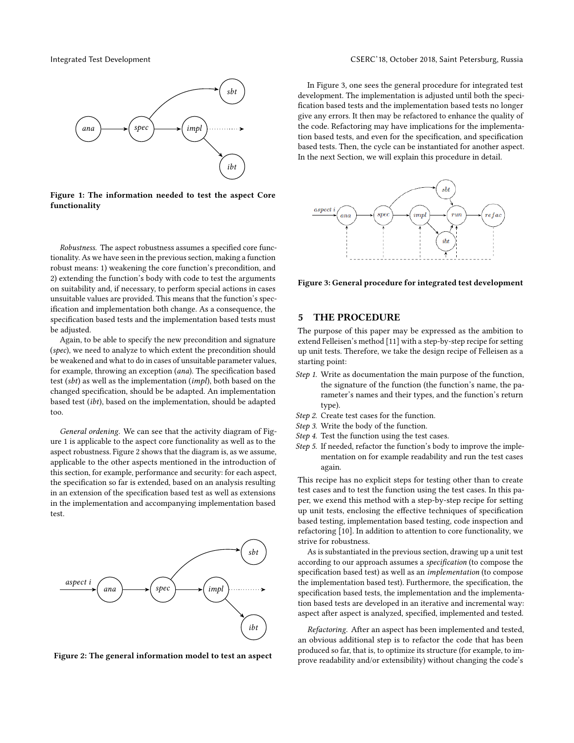<span id="page-5-1"></span>

Figure 1: The information needed to test the aspect Core functionality

Robustness. The aspect robustness assumes a specified core functionality. As we have seen in the previous section, making a function robust means: 1) weakening the core function's precondition, and 2) extending the function's body with code to test the arguments on suitability and, if necessary, to perform special actions in cases unsuitable values are provided. This means that the function's specification and implementation both change. As a consequence, the specification based tests and the implementation based tests must be adjusted.

Again, to be able to specify the new precondition and signature (spec), we need to analyze to which extent the precondition should be weakened and what to do in cases of unsuitable parameter values, for example, throwing an exception (ana). The specification based test (sbt) as well as the implementation (impl), both based on the changed specification, should be be adapted. An implementation based test (ibt), based on the implementation, should be adapted too.

General ordening. We can see that the activity diagram of Figure [1](#page-5-1) is applicable to the aspect core functionality as well as to the aspect robustness. Figure [2](#page-5-2) shows that the diagram is, as we assume, applicable to the other aspects mentioned in the introduction of this section, for example, performance and security: for each aspect, the specification so far is extended, based on an analysis resulting in an extension of the specification based test as well as extensions in the implementation and accompanying implementation based test.

<span id="page-5-2"></span>

Figure 2: The general information model to test an aspect

In Figure [3,](#page-5-3) one sees the general procedure for integrated test development. The implementation is adjusted until both the specification based tests and the implementation based tests no longer give any errors. It then may be refactored to enhance the quality of the code. Refactoring may have implications for the implementation based tests, and even for the specification, and specification based tests. Then, the cycle can be instantiated for another aspect. In the next Section, we will explain this procedure in detail.

<span id="page-5-3"></span>

Figure 3: General procedure for integrated test development

#### <span id="page-5-0"></span>5 THE PROCEDURE

The purpose of this paper may be expressed as the ambition to extend Felleisen's method [\[11\]](#page-11-8) with a step-by-step recipe for setting up unit tests. Therefore, we take the design recipe of Felleisen as a starting point:

- Step 1. Write as documentation the main purpose of the function, the signature of the function (the function's name, the parameter's names and their types, and the function's return type).
- Step 2. Create test cases for the function.
- Step 3. Write the body of the function.
- Step 4. Test the function using the test cases.
- Step 5. If needed, refactor the function's body to improve the implementation on for example readability and run the test cases again.

This recipe has no explicit steps for testing other than to create test cases and to test the function using the test cases. In this paper, we exend this method with a step-by-step recipe for setting up unit tests, enclosing the effective techniques of specification based testing, implementation based testing, code inspection and refactoring [\[10\]](#page-11-19). In addition to attention to core functionality, we strive for robustness.

As is substantiated in the previous section, drawing up a unit test according to our approach assumes a specification (to compose the specification based test) as well as an implementation (to compose the implementation based test). Furthermore, the specification, the specification based tests, the implementation and the implementation based tests are developed in an iterative and incremental way: aspect after aspect is analyzed, specified, implemented and tested.

Refactoring. After an aspect has been implemented and tested, an obvious additional step is to refactor the code that has been produced so far, that is, to optimize its structure (for example, to improve readability and/or extensibility) without changing the code's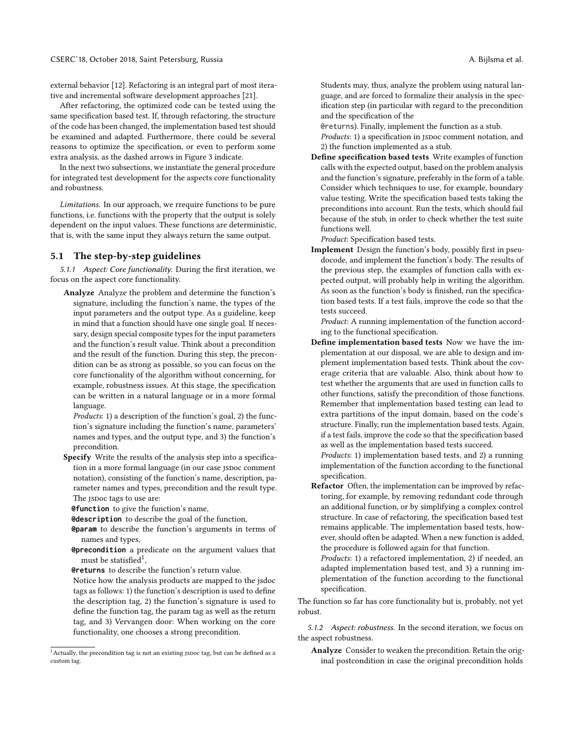external behavior [\[12\]](#page-11-20). Refactoring is an integral part of most iterative and incremental software development approaches [\[21\]](#page-12-10).

After refactoring, the optimized code can be tested using the same specification based test. If, through refactoring, the structure of the code has been changed, the implementation based test should be examined and adapted. Furthermore, there could be several reasons to optimize the specification, or even to perform some extra analysis, as the dashed arrows in Figure [3](#page-5-3) indicate.

In the next two subsections, we instantiate the general procedure for integrated test development for the aspects core functionality and robustness.

Limitations. In our approach, we rrequire functions to be pure functions, i.e. functions with the property that the output is solely dependent on the input values. These functions are deterministic, that is, with the same input they always return the same output.

#### 5.1 The step-by-step guidelines

5.1.1 Aspect: Core functionality. During the first iteration, we focus on the aspect core functionality.

Analyze Analyze the problem and determine the function's signature, including the function's name, the types of the input parameters and the output type. As a guideline, keep in mind that a function should have one single goal. If necessary, design special composite types for the input parameters and the function's result value. Think about a precondition and the result of the function. During this step, the precondition can be as strong as possible, so you can focus on the core functionality of the algorithm without concerning, for example, robustness issues. At this stage, the specification can be written in a natural language or in a more formal language.

Products: 1) a description of the function's goal, 2) the function's signature including the function's name, parameters' names and types, and the output type, and 3) the function's precondition.

Specify Write the results of the analysis step into a specification in a more formal language (in our case JSDoc comment notation), consisting of the function's name, description, parameter names and types, precondition and the result type. The *jspoc* tags to use are:

**@function** to give the function's name,

**@description** to describe the goal of the function,

- **@param** to describe the function's arguments in terms of names and types,
- **@precondition** a predicate on the argument values that must be statisfied<sup>[1](#page-6-0)</sup>,

**@returns** to describe the function's return value.

Notice how the analysis products are mapped to the jsdoc tags as follows: 1) the function's description is used to define the description tag, 2) the function's signature is used to define the function tag, the param tag as well as the return tag, and 3) Vervangen door: When working on the core functionality, one chooses a strong precondition.

Students may, thus, analyze the problem using natural language, and are forced to formalize their analysis in the specification step (in particular with regard to the precondition and the specification of the

@returns). Finally, implement the function as a stub.

Products: 1) a specification in JSDoc comment notation, and 2) the function implemented as a stub.

Define specification based tests Write examples of function calls with the expected output, based on the problem analysis and the function's signature, preferably in the form of a table. Consider which techniques to use, for example, boundary value testing. Write the specification based tests taking the preconditions into account. Run the tests, which should fail because of the stub, in order to check whether the test suite functions well.

Product: Specification based tests.

Implement Design the function's body, possibly first in pseudocode, and implement the function's body. The results of the previous step, the examples of function calls with expected output, will probably help in writing the algorithm. As soon as the function's body is finished, run the specification based tests. If a test fails, improve the code so that the tests succeed.

Product: A running implementation of the function according to the functional specification.

Define implementation based tests Now we have the implementation at our disposal, we are able to design and implement implementation based tests. Think about the coverage criteria that are valuable. Also, think about how to test whether the arguments that are used in function calls to other functions, satisfy the precondition of those functions. Remember that implementation based testing can lead to extra partitions of the input domain, based on the code's structure. Finally, run the implementation based tests. Again, if a test fails, improve the code so that the specification based as well as the implementation based tests succeed.

Products: 1) implementation based tests, and 2) a running implementation of the function according to the functional specification.

Refactor Often, the implementation can be improved by refactoring, for example, by removing redundant code through an additional function, or by simplifying a complex control structure. In case of refactoring, the specification based test remains applicable. The implementation based tests, however, should often be adapted. When a new function is added, the procedure is followed again for that function.

Products: 1) a refactored implementation, 2) if needed, an adapted implementation based test, and 3) a running implementation of the function according to the functional specification.

The function so far has core functionality but is, probably, not yet robust.

5.1.2 Aspect: robustness. In the second iteration, we focus on the aspect robustness.

Analyze Consider to weaken the precondition. Retain the original postcondition in case the original precondition holds

<span id="page-6-0"></span> $^{\rm 1}$  Actually, the precondition tag is not an existing Js<br>poc tag, but can be defined as a custom tag.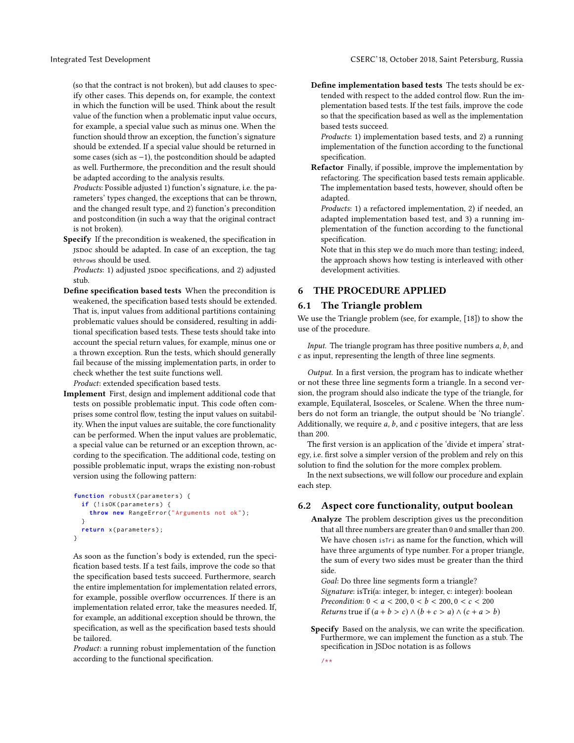Integrated Test Development CSERC'18, October 2018, Saint Petersburg, Russia

(so that the contract is not broken), but add clauses to specify other cases. This depends on, for example, the context in which the function will be used. Think about the result value of the function when a problematic input value occurs, for example, a special value such as minus one. When the function should throw an exception, the function's signature should be extended. If a special value should be returned in some cases (sich as −1), the postcondition should be adapted as well. Furthermore, the precondition and the result should be adapted according to the analysis results.

Products: Possible adjusted 1) function's signature, i.e. the parameters' types changed, the exceptions that can be thrown, and the changed result type, and 2) function's precondition and postcondition (in such a way that the original contract is not broken).

Specify If the precondition is weakened, the specification in jsdoc should be adapted. In case of an exception, the tag @throws should be used.

Products: 1) adjusted JSDoc specifications, and 2) adjusted stub.

Define specification based tests When the precondition is weakened, the specification based tests should be extended. That is, input values from additional partitions containing problematic values should be considered, resulting in additional specification based tests. These tests should take into account the special return values, for example, minus one or a thrown exception. Run the tests, which should generally fail because of the missing implementation parts, in order to check whether the test suite functions well.

Product: extended specification based tests.

Implement First, design and implement additional code that tests on possible problematic input. This code often comprises some control flow, testing the input values on suitability. When the input values are suitable, the core functionality can be performed. When the input values are problematic, a special value can be returned or an exception thrown, according to the specification. The additional code, testing on possible problematic input, wraps the existing non-robust version using the following pattern:

```
function robustX (parameters) {
  if (!isOK(parameters) {
    throw new RangeError (" Arguments not ok") ;
  }
  return x( parameters ) ;
}
```
As soon as the function's body is extended, run the specification based tests. If a test fails, improve the code so that the specification based tests succeed. Furthermore, search the entire implementation for implementation related errors, for example, possible overflow occurrences. If there is an implementation related error, take the measures needed. If, for example, an additional exception should be thrown, the specification, as well as the specification based tests should be tailored.

Product: a running robust implementation of the function according to the functional specification.

Define implementation based tests The tests should be extended with respect to the added control flow. Run the implementation based tests. If the test fails, improve the code so that the specification based as well as the implementation based tests succeed.

Products: 1) implementation based tests, and 2) a running implementation of the function according to the functional specification.

Refactor Finally, if possible, improve the implementation by refactoring. The specification based tests remain applicable. The implementation based tests, however, should often be adapted.

Products: 1) a refactored implementation, 2) if needed, an adapted implementation based test, and 3) a running implementation of the function according to the functional specification.

Note that in this step we do much more than testing; indeed, the approach shows how testing is interleaved with other development activities.

## <span id="page-7-0"></span>6 THE PROCEDURE APPLIED

#### 6.1 The Triangle problem

We use the Triangle problem (see, for example, [\[18\]](#page-11-9)) to show the use of the procedure.

Input. The triangle program has three positive numbers  $a, b$ , and c as input, representing the length of three line segments.

Output. In a first version, the program has to indicate whether or not these three line segments form a triangle. In a second version, the program should also indicate the type of the triangle, for example, Equilateral, Isosceles, or Scalene. When the three numbers do not form an triangle, the output should be 'No triangle'. Additionally, we require  $a$ ,  $b$ , and  $c$  positive integers, that are less than 200.

The first version is an application of the 'divide et impera' strategy, i.e. first solve a simpler version of the problem and rely on this solution to find the solution for the more complex problem.

In the next subsections, we will follow our procedure and explain each step.

#### 6.2 Aspect core functionality, output boolean

Analyze The problem description gives us the precondition that all three numbers are greater than 0 and smaller than 200. We have chosen isTri as name for the function, which will have three arguments of type number. For a proper triangle, the sum of every two sides must be greater than the third side.

Goal: Do three line segments form a triangle? Signature: isTri(a: integer, b: integer, c: integer): boolean Precondition:  $0 < a < 200$ ,  $0 < b < 200$ ,  $0 < c < 200$ Returns true if  $(a + b > c) \wedge (b + c > a) \wedge (c + a > b)$ 

Specify Based on the analysis, we can write the specification. Furthermore, we can implement the function as a stub. The specification in JSDoc notation is as follows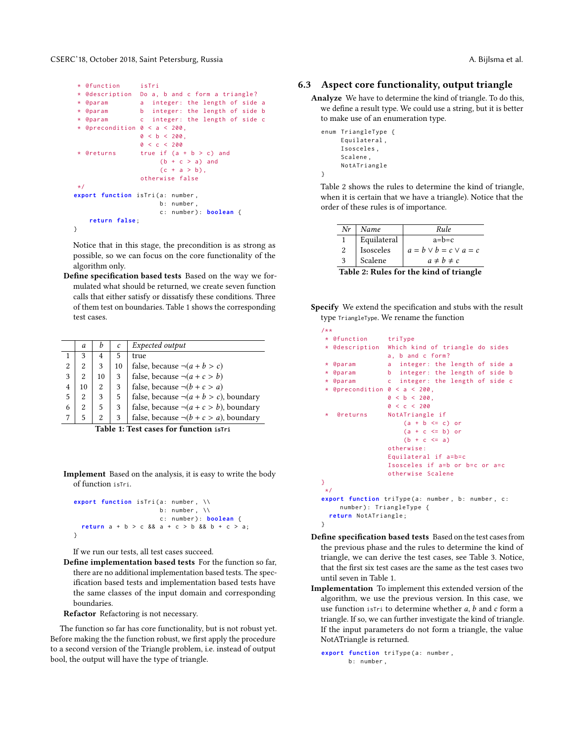CSERC'18, October 2018, Saint Petersburg, Russia A. Bijlsma et al.

```
* @function isTri
 * @description Do a, b and c form a triangle ?
 * @param a integer : the length of side a
 * @param b integer : the length of side b
 * @param c integer : the length of side c
 * @precondition 0 < a < 200,
               0 < b < 200,
                0 < c < 200* @returns true if (a + b > c) and
                    (b + c > a) and
                    (c + a > b),
                otherwise false
 */
export function isTri (a: number ,
                     b: number ,
                     c: number ) : boolean {
    return false ;
}
```
Notice that in this stage, the precondition is as strong as possible, so we can focus on the core functionality of the algorithm only.

Define specification based tests Based on the way we formulated what should be returned, we create seven function calls that either satisfy or dissatisfy these conditions. Three of them test on boundaries. Table [1](#page-8-0) shows the corresponding test cases.

<span id="page-8-0"></span>

|                                        | a  | h  | $\mathcal{C}$ | Expected output                             |  |
|----------------------------------------|----|----|---------------|---------------------------------------------|--|
|                                        | 3  | 4  | 5             | true                                        |  |
| $\overline{2}$                         | 2  | 3  | 10            | false, because $\neg(a + b > c)$            |  |
| 3                                      | 2  | 10 | 3             | false, because $\neg(a + c > b)$            |  |
| 4                                      | 10 | 2  | 3             | false, because $\neg(b + c > a)$            |  |
| 5                                      | 2  | 3  | 5             | false, because $\neg(a + b > c)$ , boundary |  |
| 6                                      | 2  | 5  | 3             | false, because $\neg(a + c > b)$ , boundary |  |
| 7                                      | 5  | 2  | 3             | false, because $\neg(b + c > a)$ , boundary |  |
| Table 1: Test cases for function isTri |    |    |               |                                             |  |

Implement Based on the analysis, it is easy to write the body of function isTri.

```
export function isTri (a: number , \\
                       b: number, \\
                       c: number ) : boolean {
  return a + b > c && a + c > b && b + c > a;
}
```
If we run our tests, all test cases succeed.

Define implementation based tests For the function so far, there are no additional implementation based tests. The specification based tests and implementation based tests have the same classes of the input domain and corresponding boundaries.

Refactor Refactoring is not necessary.

The function so far has core functionality, but is not robust yet. Before making the the function robust, we first apply the procedure to a second version of the Triangle problem, i.e. instead of output bool, the output will have the type of triangle.

#### 6.3 Aspect core functionality, output triangle

Analyze We have to determine the kind of triangle. To do this, we define a result type. We could use a string, but it is better to make use of an enumeration type.

```
enum TriangleType {
     Equilateral ,
     Isosceles ,
     Scalene ,
     NotATriangle
}
```
Table [2](#page-8-1) shows the rules to determine the kind of triangle, when it is certain that we have a triangle). Notice that the order of these rules is of importance.

<span id="page-8-1"></span>

| Nr                                      | Name        | Rule                          |  |  |  |  |
|-----------------------------------------|-------------|-------------------------------|--|--|--|--|
|                                         | Equilateral | $a=b=c$                       |  |  |  |  |
| 2                                       | Isosceles   | $a = b \vee b = c \vee a = c$ |  |  |  |  |
| 3                                       | Scalene     | $a \neq b \neq c$             |  |  |  |  |
| Table 2: Rules for the kind of triangle |             |                               |  |  |  |  |

```
Specify We extend the specification and stubs with the result
   type TriangleType. We rename the function
```

```
/**
 * @function triType
 * @description Which kind of triangle do sides
                a, b and c form?
 * @param a integer : the length of side a
 * @param b integer : the length of side b
 * @param c integer : the length of side c
 * @precondition 0 < a < 200,
                0 < b < 200,
                0 < c < 200* @returns NotATriangle if
                    (a + b \leq c) or
                    (a + c \le b) or
                    (b + c \le a)otherwise :
                Equilateral if a=b=c
                Isosceles if a=b or b=c or a=c
                otherwise Scalene
}
 */
export function triType (a: number , b: number , c:
    number): TriangleType {
 return NotATriangle ;
}
```
- Define specification based tests Based on the test cases from the previous phase and the rules to determine the kind of triangle, we can derive the test cases, see Table [3.](#page-9-0) Notice, that the first six test cases are the same as the test cases two until seven in Table [1.](#page-8-0)
- Implementation To implement this extended version of the algorithm, we use the previous version. In this case, we use function isTri to determine whether a, b and c form a triangle. If so, we can further investigate the kind of triangle. If the input parameters do not form a triangle, the value NotATriangle is returned.

```
export function triType (a: number ,
       b: number ,
```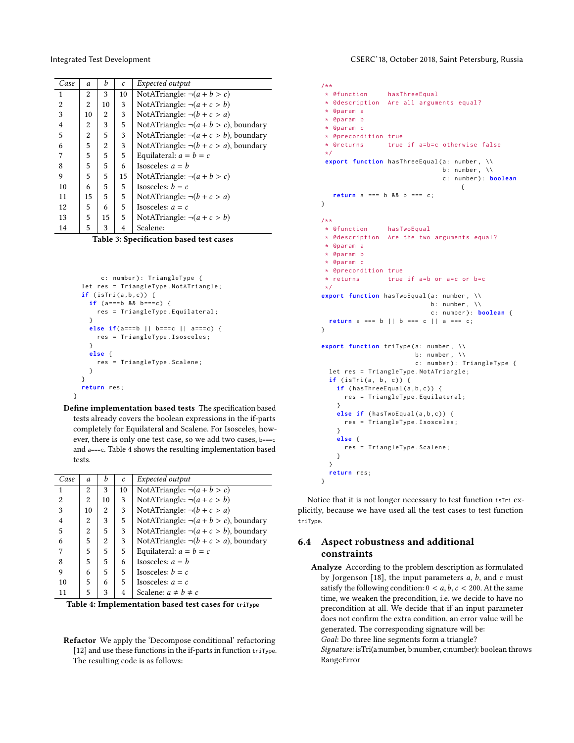<span id="page-9-0"></span>

| Case           | a              | b  | $\mathcal{C}_{0}$ | Expected output                            |  |
|----------------|----------------|----|-------------------|--------------------------------------------|--|
| 1              | 2              | 3  | 10                | NotATriangle: $\neg(a + b > c)$            |  |
| $\overline{2}$ | 2              | 10 | 3                 | NotATriangle: $\neg(a + c > b)$            |  |
| 3              | 10             | 2  | 3                 | NotATriangle: $\neg(b + c > a)$            |  |
| $\overline{4}$ | 2              | 3  | 5                 | NotATriangle: $\neg(a + b > c)$ , boundary |  |
| 5              | $\overline{2}$ | 5  | 3                 | NotATriangle: $\neg(a + c > b)$ , boundary |  |
| 6              | 5              | 2  | 3                 | NotATriangle: $\neg(b + c > a)$ , boundary |  |
| 7              | 5              | 5  | 5                 | Equilateral: $a = b = c$                   |  |
| 8              | 5              | 5  | 6                 | Isosceles: $a = b$                         |  |
| 9              | 5              | 5  | 15                | NotATriangle: $\neg(a + b > c)$            |  |
| 10             | 6              | 5  | 5                 | Isosceles: $b = c$                         |  |
| 11             | 15             | 5  | 5                 | NotATriangle: $\neg(b + c > a)$            |  |
| 12             | 5              | 6  | 5                 | Isosceles: $a = c$                         |  |
| 13             | 5              | 15 | 5                 | NotATriangle: $\neg(a + c > b)$            |  |
| 14             | 5              | 3  | 4                 | Scalene:                                   |  |
|                |                |    |                   |                                            |  |

Table 3: Specification based test cases

```
c: number): TriangleType {
 let res = TriangleType . NotATriangle ;
  if ( isTri (a,b,c) ) {
    if (a == b && b == c) {
      res = TriangleType . Equilateral ;
    }
    else if(a===b || b===c || a===c) {
      res = TriangleType . Isosceles ;
    }
    else {
     res = TriangleType . Scalene ;
    }
 }
  return res;
}
```
Define implementation based tests The specification based tests already covers the boolean expressions in the if-parts completely for Equilateral and Scalene. For Isosceles, however, there is only one test case, so we add two cases, b===c and a===c. Table [4](#page-9-1) shows the resulting implementation based tests.

<span id="page-9-1"></span>

| Case                                                 | a              | b             | $\mathcal{C}$ | Expected output                            |
|------------------------------------------------------|----------------|---------------|---------------|--------------------------------------------|
| 1                                                    | $\overline{2}$ | 3             | 10            | NotATriangle: $\neg(a + b > c)$            |
| $\overline{2}$                                       | $\overline{2}$ | 10            | 3             | NotATriangle: $\neg(a + c > b)$            |
| 3                                                    | 10             | 2             | 3             | NotATriangle: $\neg(b + c > a)$            |
| $\overline{4}$                                       | 2              | 3             | 5             | NotATriangle: $\neg(a + b > c)$ , boundary |
| 5                                                    | $\overline{2}$ | 5             | 3             | NotATriangle: $\neg(a + c > b)$ , boundary |
| 6                                                    | 5              | $\mathcal{D}$ | 3             | NotATriangle: $\neg(b + c > a)$ , boundary |
|                                                      | 5              | 5             | 5             | Equilateral: $a = b = c$                   |
| 8                                                    | 5              | 5             | 6             | Isosceles: $a = b$                         |
| 9                                                    | 6              | 5             | 5             | Isosceles: $b = c$                         |
| 10                                                   | 5              | 6             | 5             | Isosceles: $a = c$                         |
| 11                                                   | 5              | 3             | 4             | Scalene: $a \neq b \neq c$                 |
| Table 4: Implementation based test cases for tritype |                |               |               |                                            |

Integrated Test Development CSERC'18, October 2018, Saint Petersburg, Russia

```
/**
 * @function hasThreeEqual
 * @description Are all arguments equal ?
 * @param a
 * @param b
 * @param c
 * @precondition true
 * @returns true if a=b=c otherwise false
 */
 export function hasThreeEqual (a: number , \\
                                b: number , \\
                                c: number ) : boolean
                                     {
   return a == b 88 b == c;
}
/**
* @function hasTwoEqual
 * @description Are the two arguments equal?
 * @param a
 * @param b
 * @param c
 * @precondition true
 * returns true if a=b or a=c or b=c
 */
export function hasTwoEqual (a: number , \\
                            b: number , \\
                            c: number): boolean {
  return a === b || b === c || a === c;
}
export function triType (a: number , \\
                        b: number , \\
                        c: number): TriangleType {
  let res = TriangleType . NotATriangle ;
  if (isTri(a, b, c)) {
    if ( hasThreeEqual (a,b,c) ) {
      res = TriangleType . Equilateral ;
    }
    else if ( hasTwoEqual (a,b,c) ) {
      res = TriangleType . Isosceles ;
    }
    else {
      res = TriangleType . Scalene ;
   }
  }
  return res;
}
```
Notice that it is not longer necessary to test function isTri explicitly, because we have used all the test cases to test function triType.

## 6.4 Aspect robustness and additional constraints

Analyze According to the problem description as formulated by Jorgenson [\[18\]](#page-11-9), the input parameters  $a$ ,  $b$ , and  $c$  must satisfy the following condition:  $0 < a, b, c < 200$ . At the same time, we weaken the precondition, i.e. we decide to have no precondition at all. We decide that if an input parameter does not confirm the extra condition, an error value will be generated. The corresponding signature will be: Goal: Do three line segments form a triangle?

Signature: isTri(a:number, b:number, c:number): boolean throws RangeError

Refactor We apply the 'Decompose conditional' refactoring [\[12\]](#page-11-20) and use these functions in the if-parts in function triType. The resulting code is as follows: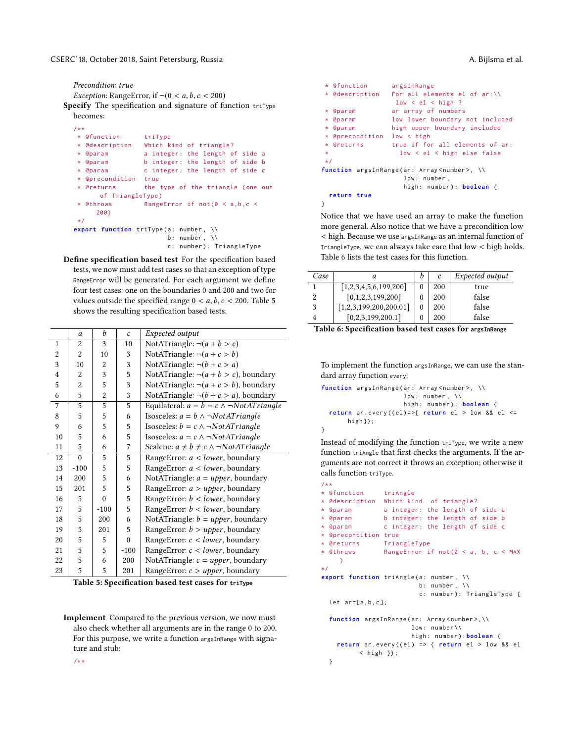CSERC'18, October 2018, Saint Petersburg, Russia A. Bijlsma et al.

Precondition: true<br>Exception: Bangel

```
Exception: RangeError, if \neg(0 < a, b, c < 200)
```
Specify The specification and signature of function triType becomes:

```
/**
* @function triType
* @description Which kind of triangle ?
                a integer: the length of side a
* @param b integer : the length of side b
* @param c integer : the length of side c
* @precondition true
* @returns the type of the triangle ( one out
     of TriangleType )
* @throws RangeError if not (0 < a,b,c <
     200)
*/
export function triType (a: number , \\
                      b: number, \\
                      c: number): TriangleType
```
Define specification based test For the specification based tests, we now must add test cases so that an exception of type RangeError will be generated. For each argument we define four test cases: one on the boundaries 0 and 200 and two for values outside the specified range  $0 < a, b, c < 200$ . Table [5](#page-10-0) shows the resulting specification based tests.

<span id="page-10-0"></span>

|                                                     | $\boldsymbol{a}$ | b              | $\mathcal{C}_{0}$ | Expected output                                    |  |
|-----------------------------------------------------|------------------|----------------|-------------------|----------------------------------------------------|--|
| $\mathbf{1}$                                        | 2                | 3              | 10                | NotATriangle: $\neg(a + b > c)$                    |  |
| $\boldsymbol{2}$                                    | 2                | 10             | 3                 | NotATriangle: $\neg(a + c > b)$                    |  |
| 3                                                   | 10               | 2              | 3                 | NotATriangle: $\neg(b + c > a)$                    |  |
| $\overline{4}$                                      | 2                | 3              | 5                 | NotATriangle: $\neg(a + b > c)$ , boundary         |  |
| 5                                                   | 2                | 5              | 3                 | NotATriangle: $\neg(a + c > b)$ , boundary         |  |
| 6                                                   | 5                | $\overline{2}$ | 3                 | NotATriangle: $\neg(b + c > a)$ , boundary         |  |
| $\overline{7}$                                      | 5                | 5              | 5                 | Equilateral: $a = b = c \land \neg NotATriangle$   |  |
| 8                                                   | 5                | 5              | 6                 | Isosceles: $a = b \land \neg NotATriangle$         |  |
| 9                                                   | 6                | 5              | 5                 | Isosceles: $b = c \land \neg NotATriangle$         |  |
| 10                                                  | 5                | 6              | 5                 | Isosceles: $a = c \land \neg NotATriangle$         |  |
| 11                                                  | 5                | 6              | 7                 | Scalene: $a \neq b \neq c \land \neg NotATriangle$ |  |
| 12                                                  | $\theta$         | 5              | 5                 | RangeError: a < lower, boundary                    |  |
| 13                                                  | $-100$           | 5              | 5                 | RangeError: <i>a</i> < <i>lower</i> , boundary     |  |
| 14                                                  | 200              | 5              | 6                 | NotATriangle: $a = upper$ , boundary               |  |
| 15                                                  | 201              | 5              | 5                 | RangeError: $a > upper$ , boundary                 |  |
| 16                                                  | 5                | $\theta$       | 5                 | RangeError: $b$ < lower, boundary                  |  |
| 17                                                  | 5                | $-100$         | 5                 | RangeError: $b$ < lower, boundary                  |  |
| 18                                                  | 5                | 200            | 6                 | NotATriangle: $b = upper$ , boundary               |  |
| 19                                                  | 5                | 201            | 5                 | RangeError: $b > upper$ , boundary                 |  |
| 20                                                  | 5                | 5              | $\mathbf{0}$      | RangeError: $c$ < lower, boundary                  |  |
| 21                                                  | 5                | 5              | $-100$            | RangeError: $c$ < lower, boundary                  |  |
| 22                                                  | 5                | 6              | 200               | NotATriangle: $c = upper$ , boundary               |  |
| 23                                                  | 5                | 5              | 201               | RangeError: $c > upper$ , boundary                 |  |
| Table 5: Specification based test cases for triType |                  |                |                   |                                                    |  |

Implement Compared to the previous version, we now must also check whether all arguments are in the range 0 to 200. For this purpose, we write a function argsInRange with signature and stub:

```
* @function argsInRange
 * @description For all elements el of ar :\\
                 low < el < high ?
 * @param ar array of numbers
 * @param low lower boundary not included
 * @param high upper boundary included
 * @precondition low < high
 * @returns true if for all elements of ar:
                  low < el < high else false
 */
function argsInRange (ar: Array < number>, \\
                   low: number,
                   high: number): boolean {
 return true
}
```
Notice that we have used an array to make the function more general. Also notice that we have a precondition low < high. Because we use argsInRange as an internal function of TriangleType, we can always take care that low < high holds. Table [6](#page-10-1) lists the test cases for this function.

<span id="page-10-1"></span>

| Case | a                      | b | $\mathcal{C}$ | Expected output |
|------|------------------------|---|---------------|-----------------|
|      | [1,2,3,4,5,6,199,200]  |   | 200           | true            |
| 2    | [0,1,2,3,199,200]      |   | 200           | false           |
| 3    | [1,2,3,199,200,200.01] |   | 200           | false           |
| 4    | [0,2,3,199,200.1]      |   | 200           | false           |
|      |                        |   |               |                 |

```
Table 6: Specification based test cases for argsInRange
```
To implement the function argsInRange, we can use the standard array function every:

```
function argsInRange (ar: Array<number>, \\
                         low: number, \setminus\setminushigh: number): boolean {
  return ar. every ((el) = >{ return el > low && el <=
       high });
}
```
Instead of modifying the function triType, we write a new function triAngle that first checks the arguments. If the arguments are not correct it throws an exception; otherwise it calls function triType.

```
/**
* @function triAngle
* @description Which kind of triangle ?
* @param a integer : the length of side a
* @param b integer : the length of side b
* @param c integer : the length of side c
* @precondition true
* @returns TriangleType
* @throws RangeError if not (0 < a, b, c < MAX
    )
*/
export function triAngle (a: number , \\
                        b: number , \\
                        c: number): TriangleType {
 let ar=[a,b,c];function argsInRange(ar: Array<number>,\\
                      low: number \\
                      high : number ) : boolean {
   return ar.every((el) => { return el > low & el< high }) ;
  }
```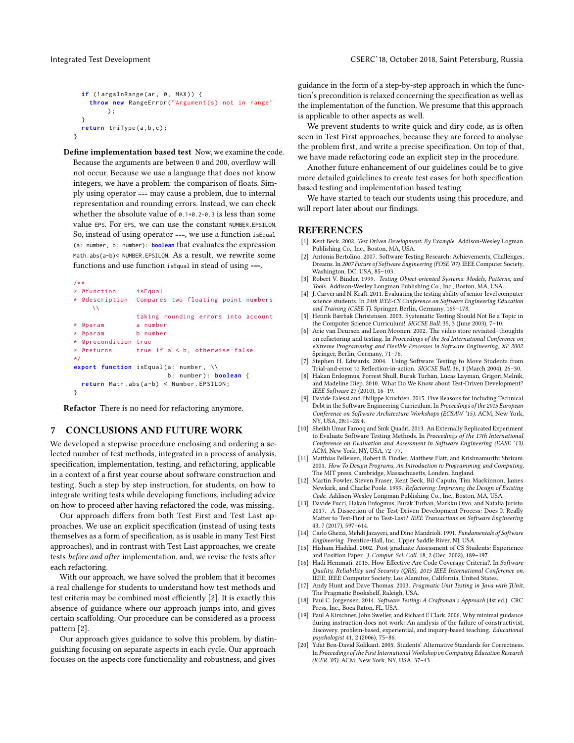```
if (!argsInRange(ar, 0, MAX)) {
     throw new RangeError (" Argument (s) not in range "
         ) ;
  }
  return triType (a,b,c) ;
}
```
Define implementation based test Now, we examine the code. Because the arguments are between 0 and 200, overflow will not occur. Because we use a language that does not know integers, we have a problem: the comparison of floats. Simply using operator === may cause a problem, due to internal representation and rounding errors. Instead, we can check whether the absolute value of  $0.1+0.2-0.3$  is less than some value EPS. For EPS, we can use the constant NUMBER.EPSILON. So, instead of using operator ===, we use a function isEqual (a: number, b: number): **boolean** that evaluates the expression Math.abs(a-b)< NUMBER.EPSILON. As a result, we rewrite some functions and use function isEqual in stead of using ===.

```
/**
* @function isEqual
* @description Compares two floating point numbers
    \lambda\lambdataking rounding errors into account
* @param a number
* @param b number
* @precondition true
* @returns true if a < b, otherwise false
*/
export function isEqual (a: number , \\
                        b: number): boolean {
  return Math . abs(a-b) < Number . EPSILON ;
}
```
Refactor There is no need for refactoring anymore.

#### <span id="page-11-10"></span>7 CONCLUSIONS AND FUTURE WORK

We developed a stepwise procedure enclosing and ordering a selected number of test methods, integrated in a process of analysis, specification, implementation, testing, and refactoring, applicable in a context of a first year course about software construction and testing. Such a step by step instruction, for students, on how to integrate writing tests while developing functions, including advice on how to proceed after having refactored the code, was missing.

Our approach differs from both Test First and Test Last approaches. We use an explicit specification (instead of using tests themselves as a form of specification, as is usable in many Test First approaches), and in contrast with Test Last approaches, we create tests before and after implementation, and, we revise the tests after each refactoring.

With our approach, we have solved the problem that it becomes a real challenge for students to understand how test methods and test criteria may be combined most efficiently [\[2\]](#page-11-12). It is exactly this absence of guidance where our approach jumps into, and gives certain scaffolding. Our procedure can be considered as a process pattern [\[2\]](#page-11-12).

Our approach gives guidance to solve this problem, by distinguishing focusing on separate aspects in each cycle. Our approach focuses on the aspects core functionality and robustness, and gives

guidance in the form of a step-by-step approach in which the function's precondition is relaxed concerning the specification as well as the implementation of the function. We presume that this approach is applicable to other aspects as well.

We prevent students to write quick and diry code, as is often seen in Test First approaches, because they are forced to analyse the problem first, and write a precise specification. On top of that, we have made refactoring code an explicit step in the procedure.

Another future enhancement of our guidelines could be to give more detailed guidelines to create test cases for both specification based testing and implementation based testing.

We have started to teach our students using this procedure, and will report later about our findings.

#### REFERENCES

- <span id="page-11-13"></span>[1] Kent Beck. 2002. Test Driven Development: By Example. Addison-Wesley Logman Publishing Co., Inc., Boston, MA, USA.
- <span id="page-11-12"></span>Antonia Bertolino. 2007. Software Testing Research: Achievements, Challenges, Dreams. In 2007 Future of Software Engineering (FOSE '07). IEEE Computer Society, Washington, DC, USA, 85–103.
- <span id="page-11-17"></span>[3] Robert V. Binder. 1999. Testing Object-oriented Systems: Models, Patterns, and Tools. Addison-Wesley Longman Publishing Co., Inc., Boston, MA, USA.
- <span id="page-11-3"></span>[4] J. Carver and N. Kraft. 2011. Evaluating the testing ability of senior-level computer science students. In 24th IEEE-CS Conference on Software Engineering Education and Training (CSEE T). Springer, Berlin, Germany, 169–178.
- <span id="page-11-0"></span>[5] Henrik Bærbak Christensen. 2003. Systematic Testing Should Not Be a Topic in the Computer Science Curriculum! SIGCSE Bull. 35, 3 (June 2003), 7-10.
- <span id="page-11-5"></span>[6] Arie van Deursen and Leon Moonen. 2002. The video store revisited–thoughts on refactoring and testing. In Proceedings of the 3rd International Conference on eXtreme Programming and Flexible Processes in Software Engineering, XP 2002. Springer, Berlin, Germany, 71–76.
- <span id="page-11-1"></span>[7] Stephen H. Edwards. 2004. Using Software Testing to Move Students from Trial-and-error to Reflection-in-action. SIGCSE Bull. 36, 1 (March 2004), 26–30.
- <span id="page-11-6"></span>[8] Hakan Erdogmus, Forrest Shull, Burak Turhan, Lucas Layman, Grigori Melnik, and Madeline Diep. 2010. What Do We Know about Test-Driven Development? IEEE Software 27 (2010), 16–19.
- <span id="page-11-15"></span>[9] Davide Falessi and Philippe Kruchten. 2015. Five Reasons for Including Technical Debt in the Software Engineering Curriculum. In Proceedings of the 2015 European Conference on Software Architecture Workshops (ECSAW '15). ACM, New York, NY, USA, 28:1–28:4.
- <span id="page-11-19"></span>[10] Sheikh Umar Farooq and Smk Quadri. 2013. An Externally Replicated Experiment to Evaluate Software Testing Methods. In Proceedings of the 17th International Conference on Evaluation and Assessment in Software Engineering (EASE '13). ACM, New York, NY, USA, 72–77.
- <span id="page-11-8"></span>[11] Matthias Felleisen, Robert B. Findler, Matthew Flatt, and Krishnamurthi Shriram. 2001. How To Design Programs, An Introduction to Programming and Computing. The MIT press, Cambridge, Massachusetts, Londen, England.
- <span id="page-11-20"></span>[12] Martin Fowler, Steven Fraser, Kent Beck, Bil Caputo, Tim Mackinnon, James Newkirk, and Charlie Poole. 1999. Refactoring: Improving the Design of Existing Code. Addison-Wesley Longman Publishing Co., Inc., Boston, MA, USA.
- <span id="page-11-14"></span>[13] Davide Fucci, Hakan Erdogmus, Burak Turhan, Markku Oivo, and Natalia Juristo. 2017. A Dissection of the Test-Driven Development Process: Does It Really Matter to Test-First or to Test-Last? IEEE Transactions on Software Engineering 43, 7 (2017), 597–614.
- <span id="page-11-16"></span>[14] Carlo Ghezzi, Mehdi Jazayeri, and Dino Mandrioli. 1991. Fundamentals of Software Engineering. Prentice-Hall, Inc., Upper Saddle River, NJ, USA.
- <span id="page-11-4"></span>[15] Hisham Haddad. 2002. Post-graduate Assessment of CS Students: Experience and Position Paper. J. Comput. Sci. Coll. 18, 2 (Dec. 2002), 189–197.
- <span id="page-11-18"></span>[16] Hadi Hemmati. 2015. How Effective Are Code Coverage Criteria?. In Software Quality, Reliability and Security (QRS), 2015 IEEE International Conference on. IEEE, IEEE Computer Society, Los Alamitos, California, United States.
- <span id="page-11-11"></span>[17] Andy Hunt and Dave Thomas. 2003. Pragmatic Unit Testing in Java with JUnit. The Pragmatic Bookshelf, Raleigh, USA.
- <span id="page-11-9"></span>[18] Paul C. Jorgensen. 2014. Software Testing: A Craftsman's Approach (4st ed.). CRC Press, Inc., Boca Raton, FL, USA.
- <span id="page-11-7"></span>[19] Paul A Kirschner, John Sweller, and Richard E Clark. 2006. Why minimal guidance during instruction does not work: An analysis of the failure of constructivist, discovery, problem-based, experiential, and inquiry-based teaching. Educational psychologist 41, 2 (2006), 75–86.
- <span id="page-11-2"></span>[20] Yifat Ben-David Kolikant. 2005. Students' Alternative Standards for Correctness. In Proceedings of the First International Workshop on Computing Education Research (ICER '05). ACM, New York, NY, USA, 37–43.